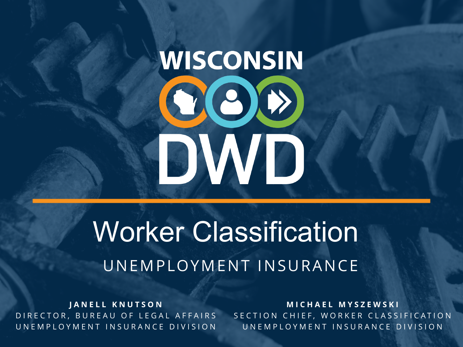# **WISCONSIN** COO DWD

## Worker Classification UNEMPLOYMENT INSURANCE

**JANELL KNUTSON** DIRECTOR, BUREAU OF LEGAL AFFAIRS UNEMPLOYMENT INSURANCE DIVISION

**MICHAEL MYSZEWSKI** SECTION CHIEF, WORKER CLASSIFICATION UNEMPLOYMENT INSURANCE DIVISION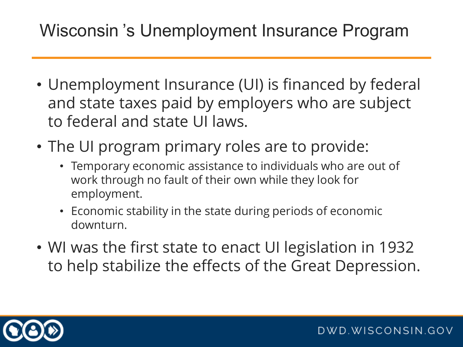#### Wisconsin 's Unemployment Insurance Program

- Unemployment Insurance (UI) is financed by federal and state taxes paid by employers who are subject to federal and state UI laws.
- The UI program primary roles are to provide:
	- Temporary economic assistance to individuals who are out of work through no fault of their own while they look for employment.
	- Economic stability in the state during periods of economic downturn.
- WI was the first state to enact UI legislation in 1932 to help stabilize the effects of the Great Depression.

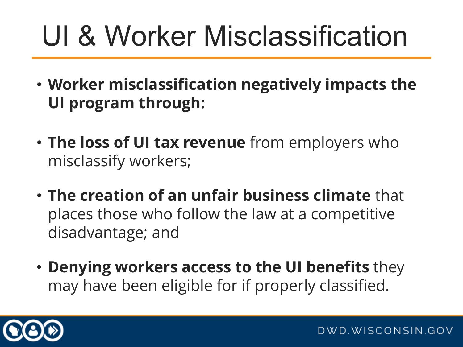## UI & Worker Misclassification

- **Worker misclassification negatively impacts the UI program through:**
- **The loss of UI tax revenue** from employers who misclassify workers;
- **The creation of an unfair business climate** that places those who follow the law at a competitive disadvantage; and
- **Denying workers access to the UI benefits** they may have been eligible for if properly classified.

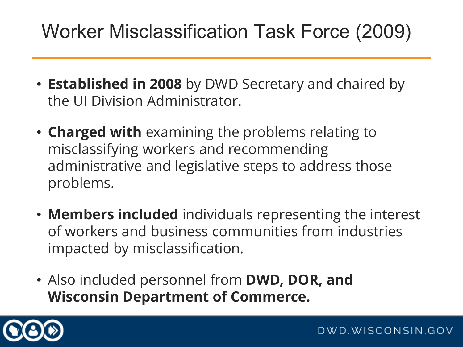#### Worker Misclassification Task Force (2009)

- **Established in 2008** by DWD Secretary and chaired by the UI Division Administrator.
- **Charged with** examining the problems relating to misclassifying workers and recommending administrative and legislative steps to address those problems.
- **Members included** individuals representing the interest of workers and business communities from industries impacted by misclassification.
- Also included personnel from **DWD, DOR, and Wisconsin Department of Commerce.**

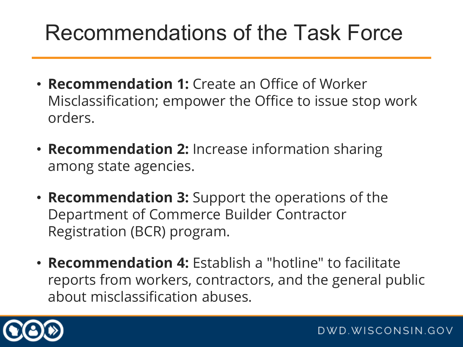## Recommendations of the Task Force

- **Recommendation 1:** Create an Office of Worker Misclassification; empower the Office to issue stop work orders.
- **Recommendation 2:** Increase information sharing among state agencies.
- **Recommendation 3:** Support the operations of the Department of Commerce Builder Contractor Registration (BCR) program.
- **Recommendation 4:** Establish a "hotline" to facilitate reports from workers, contractors, and the general public about misclassification abuses.

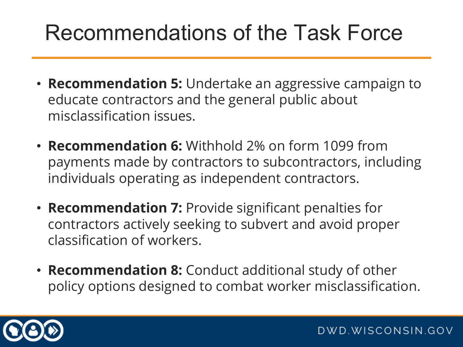## Recommendations of the Task Force

- **Recommendation 5:** Undertake an aggressive campaign to educate contractors and the general public about misclassification issues.
- **Recommendation 6:** Withhold 2% on form 1099 from payments made by contractors to subcontractors, including individuals operating as independent contractors.
- **Recommendation 7:** Provide significant penalties for contractors actively seeking to subvert and avoid proper classification of workers.
- **Recommendation 8:** Conduct additional study of other policy options designed to combat worker misclassification.

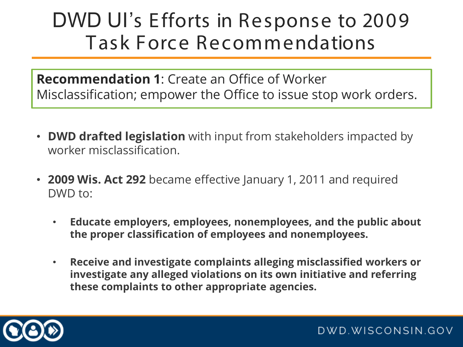**Recommendation 1**: Create an Office of Worker Misclassification; empower the Office to issue stop work orders.

- **DWD drafted legislation** with input from stakeholders impacted by worker misclassification.
- **2009 Wis. Act 292** became effective January 1, 2011 and required DWD to:
	- **Educate employers, employees, nonemployees, and the public about the proper classification of employees and nonemployees.**
	- **Receive and investigate complaints alleging misclassified workers or investigate any alleged violations on its own initiative and referring these complaints to other appropriate agencies.**

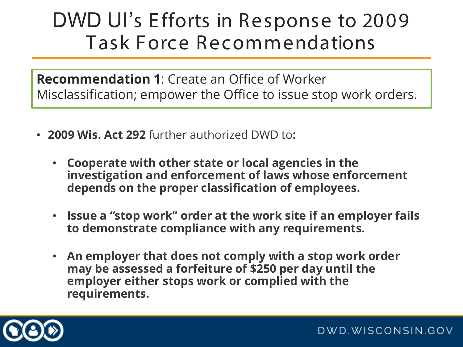**Recommendation 1**: Create an Office of Worker Misclassification; empower the Office to issue stop work orders.

- **2009 Wis. Act 292** further authorized DWD to**:** 
	- **Cooperate with other state or local agencies in the investigation and enforcement of laws whose enforcement depends on the proper classification of employees.**
	- **Issue a "stop work" order at the work site if an employer fails to demonstrate compliance with any requirements.**
	- **An employer that does not comply with a stop work order may be assessed a forfeiture of \$250 per day until the employer either stops work or complied with the requirements.**

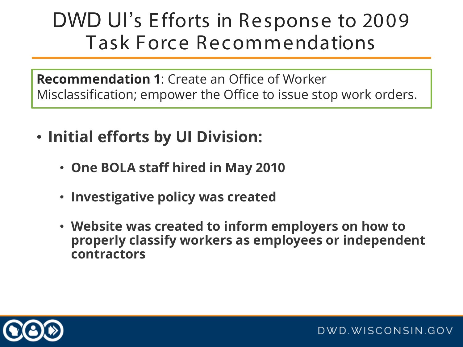**Recommendation 1**: Create an Office of Worker Misclassification; empower the Office to issue stop work orders.

- **Initial efforts by UI Division:**
	- **One BOLA staff hired in May 2010**
	- **Investigative policy was created**
	- **Website was created to inform employers on how to properly classify workers as employees or independent contractors**

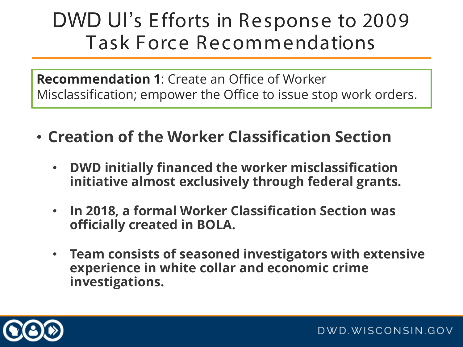**Recommendation 1**: Create an Office of Worker Misclassification; empower the Office to issue stop work orders.

- **Creation of the Worker Classification Section** 
	- **DWD initially financed the worker misclassification initiative almost exclusively through federal grants.**
	- **In 2018, a formal Worker Classification Section was officially created in BOLA.**
	- **Team consists of seasoned investigators with extensive experience in white collar and economic crime investigations.**

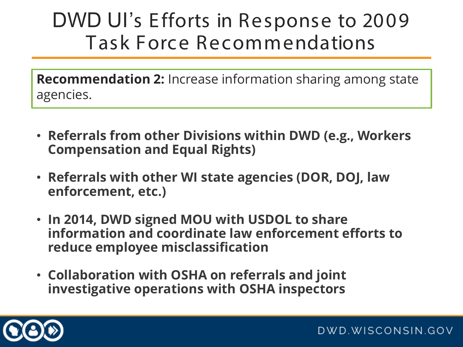**Recommendation 2:** Increase information sharing among state agencies.

- **Referrals from other Divisions within DWD (e.g., Workers Compensation and Equal Rights)**
- **Referrals with other WI state agencies (DOR, DOJ, law enforcement, etc.)**
- **In 2014, DWD signed MOU with USDOL to share information and coordinate law enforcement efforts to reduce employee misclassification**
- **Collaboration with OSHA on referrals and joint investigative operations with OSHA inspectors**

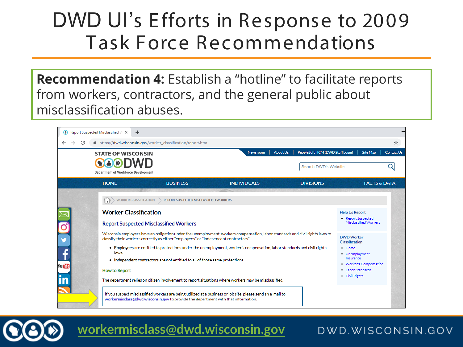**Recommendation 4:** Establish a "hotline" to facilitate reports from workers, contractors, and the general public about misclassification abuses.

| Report Suspected Misclassified W X |                                                                                                                                                                                                                                                                                                                                                                                                                                                                                                                                                                                                                                                                                                                                              | $+$                                                        |  |                    |                 |                                  |                                                                                                                                                                                                                        |                         |                   |
|------------------------------------|----------------------------------------------------------------------------------------------------------------------------------------------------------------------------------------------------------------------------------------------------------------------------------------------------------------------------------------------------------------------------------------------------------------------------------------------------------------------------------------------------------------------------------------------------------------------------------------------------------------------------------------------------------------------------------------------------------------------------------------------|------------------------------------------------------------|--|--------------------|-----------------|----------------------------------|------------------------------------------------------------------------------------------------------------------------------------------------------------------------------------------------------------------------|-------------------------|-------------------|
| C                                  |                                                                                                                                                                                                                                                                                                                                                                                                                                                                                                                                                                                                                                                                                                                                              | https://dwd.wisconsin.gov/worker_classification/report.htm |  |                    |                 |                                  |                                                                                                                                                                                                                        |                         | ☆                 |
|                                    | <b>STATE OF WISCONSIN</b>                                                                                                                                                                                                                                                                                                                                                                                                                                                                                                                                                                                                                                                                                                                    |                                                            |  | <b>Newsroom</b>    | <b>About Us</b> | PeopleSoft HCM (DWD Staff Login) |                                                                                                                                                                                                                        | <b>Site Map</b>         | <b>Contact Us</b> |
|                                    | <b>Department of Workforce Development</b>                                                                                                                                                                                                                                                                                                                                                                                                                                                                                                                                                                                                                                                                                                   |                                                            |  |                    |                 | Search DWD's Website             |                                                                                                                                                                                                                        |                         |                   |
|                                    | <b>HOME</b>                                                                                                                                                                                                                                                                                                                                                                                                                                                                                                                                                                                                                                                                                                                                  | <b>BUSINESS</b>                                            |  | <b>INDIVIDUALS</b> |                 | <b>DIVISIONS</b>                 |                                                                                                                                                                                                                        | <b>FACTS &amp; DATA</b> |                   |
| y<br>fou Tub                       | <b>WORKER CLASSIFICATION</b><br><b>REPORT SUSPECTED MISCLASSIFIED WORKERS</b><br><b>Worker Classification</b><br><b>Report Suspected Misclassified Workers</b><br>Wisconsin employers have an obligation under the unemployment, workers compensation, labor standards and civil rights laws to<br>classify their workers correctly as either "employees" or "independent contractors".<br>• Employees are entitled to protections under the unemployment, worker's compensation, labor standards and civil rights<br>laws.<br>• Independent contractors are not entitled to all of those same protections.<br><b>How to Report</b><br>The department relies on citizen involvement to report situations where workers may be misclassified. |                                                            |  |                    |                 |                                  | <b>Help Us Report</b><br>• Report Suspected<br>Misclassified Workers<br><b>DWD Worker</b><br>Classification<br>· Home<br>• Unemployment<br>Insurance<br>• Worker's Compensation<br>. Labor Standards<br>• Civil Rights |                         |                   |
|                                    | If you suspect misclassified workers are being utilized at a business or job site, please send an e-mail to<br>workermisclass@dwd.wisconsin.gov to provide the department with that information.                                                                                                                                                                                                                                                                                                                                                                                                                                                                                                                                             |                                                            |  |                    |                 |                                  |                                                                                                                                                                                                                        |                         |                   |

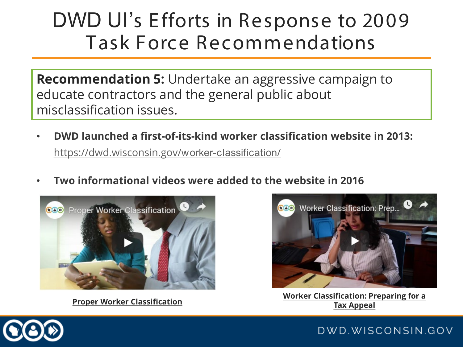**Recommendation 5:** Undertake an aggressive campaign to educate contractors and the general public about misclassification issues.

- **DWD launched a first-of-its-kind worker classification website in 2013:** [https://dwd.wisconsin.gov/](https://dwd.wisconsin.gov/worker-classification/)worker-classification/
- **Two informational videos were added to the website in 2016**



**Tax Appeal [Proper Worker Classification](https://youtu.be/lAC-I9l070E)**



**[Worker Classification: Preparing](https://youtu.be/noWyEcok-0U) for a**

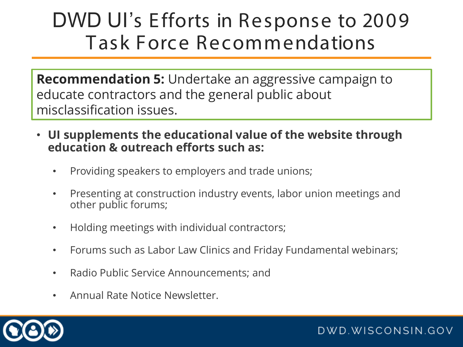**Recommendation 5:** Undertake an aggressive campaign to educate contractors and the general public about misclassification issues.

- **UI supplements the educational value of the website through education & outreach efforts such as:**
	- Providing speakers to employers and trade unions;
	- Presenting at construction industry events, labor union meetings and other public forums;
	- Holding meetings with individual contractors;
	- Forums such as Labor Law Clinics and Friday Fundamental webinars;

- Radio Public Service Announcements; and
- Annual Rate Notice Newsletter.

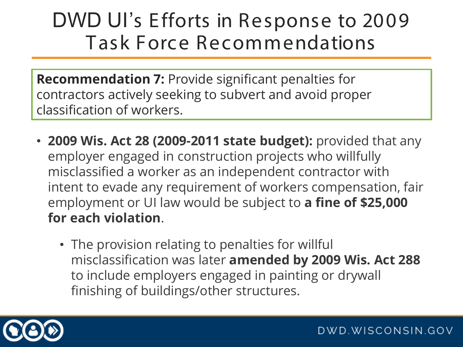**Recommendation 7:** Provide significant penalties for contractors actively seeking to subvert and avoid proper classification of workers.

- **2009 Wis. Act 28 (2009-2011 state budget):** provided that any employer engaged in construction projects who willfully misclassified a worker as an independent contractor with intent to evade any requirement of workers compensation, fair employment or UI law would be subject to **a fine of \$25,000 for each violation**.
	- The provision relating to penalties for willful misclassification was later **amended by 2009 Wis. Act 288**  to include employers engaged in painting or drywall finishing of buildings/other structures.

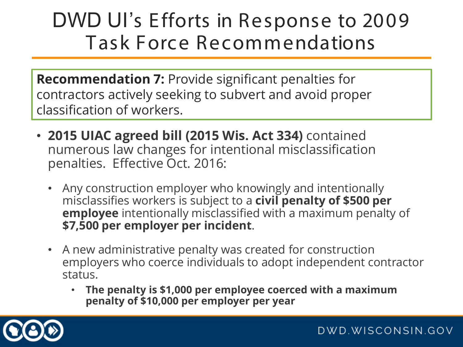**Recommendation 7:** Provide significant penalties for contractors actively seeking to subvert and avoid proper classification of workers.

- **2015 UIAC agreed bill (2015 Wis. Act 334)** contained numerous law changes for intentional misclassification penalties. Effective Oct. 2016:
	- Any construction employer who knowingly and intentionally misclassifies workers is subject to a **civil penalty of \$500 per employee** intentionally misclassified with a maximum penalty of **\$7,500 per employer per incident**.
	- A new administrative penalty was created for construction employers who coerce individuals to adopt independent contractor status.
		- **The penalty is \$1,000 per employee coerced with a maximum penalty of \$10,000 per employer per year**

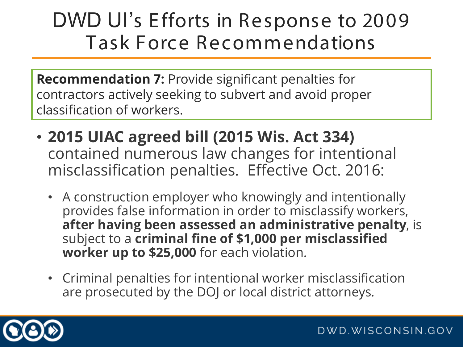**Recommendation 7:** Provide significant penalties for contractors actively seeking to subvert and avoid proper classification of workers.

- **2015 UIAC agreed bill (2015 Wis. Act 334)**  contained numerous law changes for intentional misclassification penalties. Effective Oct. 2016:
	- A construction employer who knowingly and intentionally provides false information in order to misclassify workers, **after having been assessed an administrative penalty**, is subject to a **criminal fine of \$1,000 per misclassified worker up to \$25,000** for each violation.
	- Criminal penalties for intentional worker misclassification are prosecuted by the DOJ or local district attorneys.

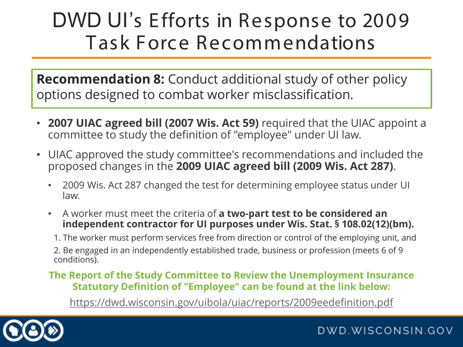**Recommendation 8:** Conduct additional study of other policy options designed to combat worker misclassification.

- **2007 UIAC agreed bill (2007 Wis. Act 59)** required that the UIAC appoint a committee to study the definition of "employee" under UI law.
- UIAC approved the study committee's recommendations and included the proposed changes in the **2009 UIAC agreed bill (2009 Wis. Act 287)**.
	- 2009 Wis. Act 287 changed the test for determining employee status under UI law.
	- A worker must meet the criteria of **a two-part test to be considered an independent contractor for UI purposes under Wis. Stat. § 108.02(12)(bm).** 
		- 1. The worker must perform services free from direction or control of the employing unit, and

2. Be engaged in an independently established trade, business or profession (meets 6 of 9 conditions).

#### **The Report of the Study Committee to Review the Unemployment Insurance Statutory Definition of "Employee" can be found at the link below:**

<https://dwd.wisconsin.gov/uibola/uiac/reports/2009eedefinition.pdf>

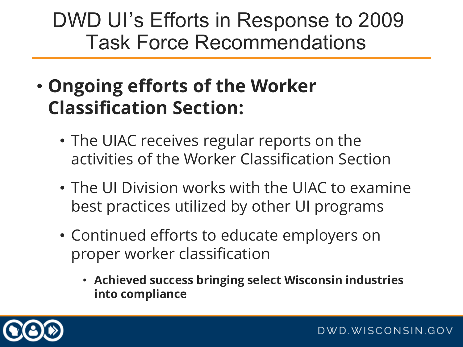- **Ongoing efforts of the Worker Classification Section:**
	- The UIAC receives regular reports on the activities of the Worker Classification Section
	- The UI Division works with the UIAC to examine best practices utilized by other UI programs
	- Continued efforts to educate employers on proper worker classification
		- **Achieved success bringing select Wisconsin industries into compliance**